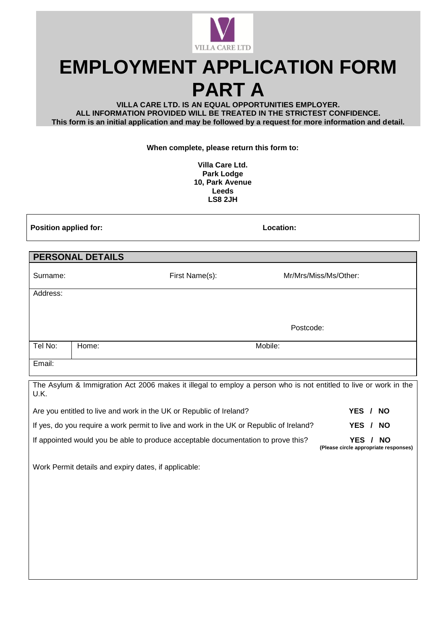

# **EMPLOYMENT APPLICATION FORM PART A**

**VILLA CARE LTD. IS AN EQUAL OPPORTUNITIES EMPLOYER. ALL INFORMATION PROVIDED WILL BE TREATED IN THE STRICTEST CONFIDENCE. This form is an initial application and may be followed by a request for more information and detail.**

**When complete, please return this form to:**

**Villa Care Ltd. Park Lodge 10, Park Avenue Leeds LS8 2JH**

**Position applied for: Location:**

**(Please circle appropriate responses)**

| <b>PERSONAL DETAILS</b>                                                                                                  |       |                |                       |  |
|--------------------------------------------------------------------------------------------------------------------------|-------|----------------|-----------------------|--|
| Surname:                                                                                                                 |       | First Name(s): | Mr/Mrs/Miss/Ms/Other: |  |
| Address:                                                                                                                 |       |                |                       |  |
|                                                                                                                          |       |                |                       |  |
|                                                                                                                          |       |                | Postcode:             |  |
| Tel No:                                                                                                                  | Home: | Mobile:        |                       |  |
| Email:                                                                                                                   |       |                |                       |  |
| The Asylum & Immigration Act 2006 makes it illegal to employ a person who is not entitled to live or work in the<br>U.K. |       |                |                       |  |
| Are you entitled to live and work in the UK or Republic of Ireland?<br>YES / NO                                          |       |                |                       |  |
| If yes, do you require a work permit to live and work in the UK or Republic of Ireland?<br>YES / NO                      |       |                |                       |  |
| If appointed would you be able to produce acceptable documentation to prove this?<br>YES / NO                            |       |                |                       |  |

Work Permit details and expiry dates, if applicable: